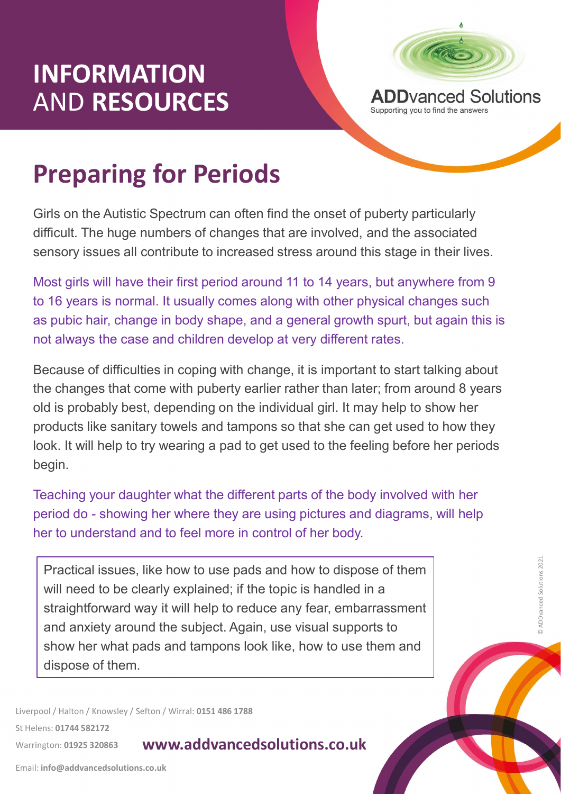# INFORMATION AND RESOURCES



**INFORMATION<br>
AND RESOURCES**<br> **Preparing for Periods**<br>
Girls on the Autistic Spectrum can often find the onset of puberty particularly<br>
difficult. The huge numbers of changes that are involved, and the associated Girls on the Autistic Spectrum can often find the onset of puberty particularly difficult. The huge numbers of changes that are involved, and the associated sensory issues all contribute to increased stress around this stage in their lives.

Most girls will have their first period around 11 to 14 years, but anywhere from 9 to 16 years is normal. It usually comes along with other physical changes such as pubic hair, change in body shape, and a general growth spurt, but again this is not always the case and children develop at very different rates.

th change, it is important to start talking about<br>ty earlier rather than later; from around 8 years<br>the individual girl. It may help to show her<br>ampons so that she can get used to how they<br>d to get used to the feeling befo Because of difficulties in coping with change, it is important to start talking about the changes that come with puberty earlier rather than later; from around 8 years old is probably best, depending on the individual girl. It may help to show her products like sanitary towels and tampons so that she can get used to how they look. It will help to try wearing a pad to get used to the feeling before her periods begin. Most girls will have their first period around 11 to 14 years, but anywhere from 9<br>to 16 years is normal. It usually comes along with other physical changes such<br>as pubic hair, change in body shape, and a general growth sp

Teaching your daughter what the different parts of the body involved with her her to understand and to feel more in control of her body.

Practical issues, like how to use pads and how to dispose of them will need to be clearly explained; if the topic is handled in a straightforward way it will help to reduce any fear, embarrassment and anxiety around the subject. Again, use visual supports to show her what pads and tampons look like, how to use them and dispose of them.

Liverpool / Halton / Knowsley / Sefton / Wirral: 0151 486 1788

St Helens: 01744 582172

#### Warrington: 01925 320863 **WWW.addvancedsolutions.co.uk**

Email: info@addvancedsolutions.co.uk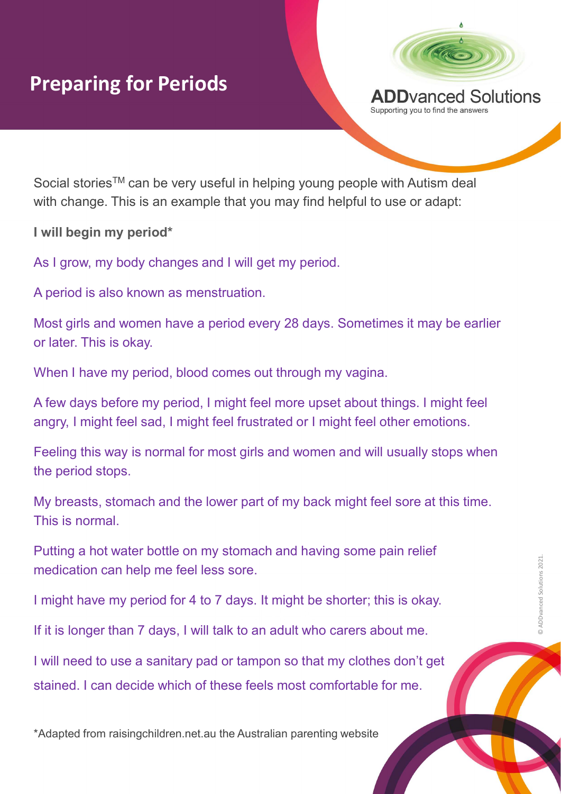## Preparing for Periods



Social stories™ can be very useful in helping young people with Autism deal with change. This is an example that you may find helpful to use or adapt:

I will begin my period\*

As I grow, my body changes and I will get my period.

A period is also known as menstruation.

Most girls and women have a period every 28 days. Sometimes it may be earlier or later. This is okay.

When I have my period, blood comes out through my vagina.

A few days before my period, I might feel more upset about things. I might feel angry, I might feel sad, I might feel frustrated or I might feel other emotions.

nd feel more upset about things. I might feel<br>frustrated or I might feel other emotions.<br>t girls and women and will usually stops when<br>r part of my back might feel sore at this time.<br>omach and having some pain relief<br>sore. Feeling this way is normal for most girls and women and will usually stops when the period stops. Feeling this way is normal for most girls and women and will usually stops when<br>the period stops.<br>My breasts, stomach and the lower part of my back might feel sore at this time.<br>This is normal.<br>Putting a hot water bottle o

My breasts, stomach and the lower part of my back might feel sore at this time. This is normal.

Putting a hot water bottle on my stomach and having some pain relief medication can help me feel less sore.

I might have my period for 4 to 7 days. It might be shorter; this is okay.

If it is longer than 7 days, I will talk to an adult who carers about me.

I will need to use a sanitary pad or tampon so that my clothes don't get

\*Adapted from raisingchildren.net.au the Australian parenting website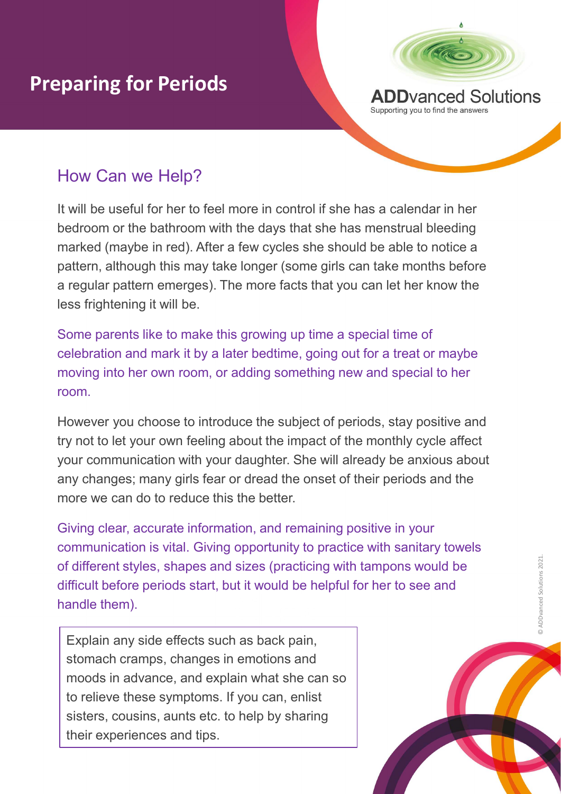

### How Can we Help?

**It will be useful for Periods**<br>
How Can we Help?<br>
It will be useful for her to feel more in control if she has a calendar in her<br>
bedroom or the bathroom with the days that she has a calendar in her<br>
bedroom or the bathro bedroom or the bathroom with the days that she has menstrual bleeding marked (maybe in red). After a few cycles she should be able to notice a pattern, although this may take longer (some girls can take months before a regular pattern emerges). The more facts that you can let her know the less frightening it will be.

Some parents like to make this growing up time a special time of celebration and mark it by a later bedtime, going out for a treat or maybe moving into her own room, or adding something new and special to her room.

er beating, yong out of a treat of maybe<br>adding something new and special to her<br>uce the subject of periods, stay positive and<br>about the impact of the monthly cycle affect<br>daughter. She will already be anxious about<br>or of However you choose to introduce the subject of periods, stay positive and try not to let your own feeling about the impact of the monthly cycle affect your communication with your daughter. She will already be anxious about any changes; many girls fear or dread the onset of their periods and the more we can do to reduce this the better.

Giving clear, accurate information, and remaining positive in your communication is vital. Giving opportunity to practice with sanitary towels of different styles, shapes and sizes (practicing with tampons would be<br>difficult before periods start, but it would be helpful for her to see and<br>handle them). difficult before periods start, but it would be helpful for her to see and handle them).

Explain any side effects such as back pain, stomach cramps, changes in emotions and moods in advance, and explain what she can so to relieve these symptoms. If you can, enlist sisters, cousins, aunts etc. to help by sharing their experiences and tips.